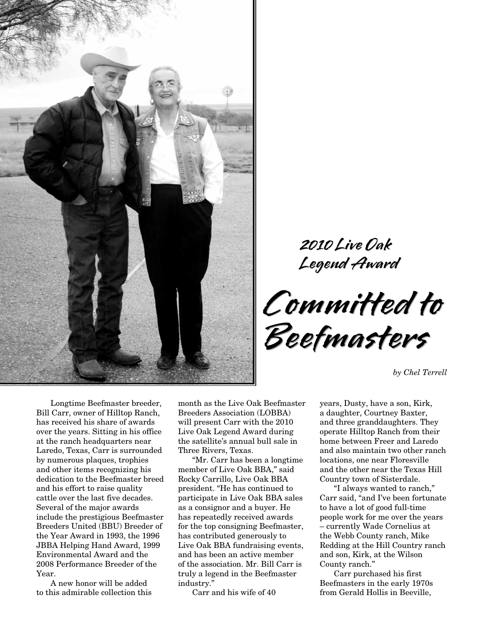

**2010 Live Oak Legend Award**

2010 Live Oak<br>Legend Award<br>C**ommitted to Beefmasters Committed to Beefmasters**

*by Chel Terrell*

Longtime Beefmaster breeder, Bill Carr, owner of Hilltop Ranch, has received his share of awards over the years. Sitting in his office at the ranch headquarters near Laredo, Texas, Carr is surrounded by numerous plaques, trophies and other items recognizing his dedication to the Beefmaster breed and his effort to raise quality cattle over the last five decades. Several of the major awards include the prestigious Beefmaster Breeders United (BBU) Breeder of the Year Award in 1993, the 1996 JBBA Helping Hand Award, 1999 Environmental Award and the 2008 Performance Breeder of the Year.

A new honor will be added to this admirable collection this

month as the Live Oak Beefmaster Breeders Association (LOBBA) will present Carr with the 2010 Live Oak Legend Award during the satellite's annual bull sale in Three Rivers, Texas.

"Mr. Carr has been a longtime member of Live Oak BBA," said Rocky Carrillo, Live Oak BBA president. "He has continued to participate in Live Oak BBA sales as a consignor and a buyer. He has repeatedly received awards for the top consigning Beefmaster, has contributed generously to Live Oak BBA fundraising events, and has been an active member of the association. Mr. Bill Carr is truly a legend in the Beefmaster industry."

Carr and his wife of 40

years, Dusty, have a son, Kirk, a daughter, Courtney Baxter, and three granddaughters. They operate Hilltop Ranch from their home between Freer and Laredo and also maintain two other ranch locations, one near Floresville and the other near the Texas Hill Country town of Sisterdale.

"I always wanted to ranch," Carr said, "and I've been fortunate to have a lot of good full-time people work for me over the years – currently Wade Cornelius at the Webb County ranch, Mike Redding at the Hill Country ranch and son, Kirk, at the Wilson County ranch."

Carr purchased his first Beefmasters in the early 1970s from Gerald Hollis in Beeville,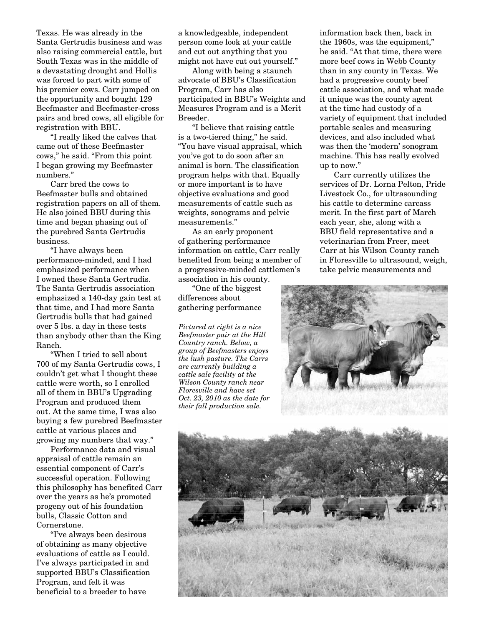Texas. He was already in the Santa Gertrudis business and was also raising commercial cattle, but South Texas was in the middle of a devastating drought and Hollis was forced to part with some of his premier cows. Carr jumped on the opportunity and bought 129 Beefmaster and Beefmaster-cross pairs and bred cows, all eligible for registration with BBU.

"I really liked the calves that came out of these Beefmaster cows," he said. "From this point I began growing my Beefmaster numbers."

Carr bred the cows to Beefmaster bulls and obtained registration papers on all of them. He also joined BBU during this time and began phasing out of the purebred Santa Gertrudis business.

"I have always been performance-minded, and I had emphasized performance when I owned these Santa Gertrudis. The Santa Gertrudis association emphasized a 140-day gain test at that time, and I had more Santa Gertrudis bulls that had gained over 5 lbs. a day in these tests than anybody other than the King Ranch.

"When I tried to sell about 700 of my Santa Gertrudis cows, I couldn't get what I thought these cattle were worth, so I enrolled all of them in BBU's Upgrading Program and produced them out. At the same time, I was also buying a few purebred Beefmaster cattle at various places and growing my numbers that way."

Performance data and visual appraisal of cattle remain an essential component of Carr's successful operation. Following this philosophy has benefited Carr over the years as he's promoted progeny out of his foundation bulls, Classic Cotton and Cornerstone.

"I've always been desirous of obtaining as many objective evaluations of cattle as I could. I've always participated in and supported BBU's Classification Program, and felt it was beneficial to a breeder to have

a knowledgeable, independent person come look at your cattle and cut out anything that you might not have cut out yourself."

Along with being a staunch advocate of BBU's Classification Program, Carr has also participated in BBU's Weights and Measures Program and is a Merit Breeder.

"I believe that raising cattle is a two-tiered thing," he said. "You have visual appraisal, which you've got to do soon after an animal is born. The classification program helps with that. Equally or more important is to have objective evaluations and good measurements of cattle such as weights, sonograms and pelvic measurements."

As an early proponent of gathering performance information on cattle, Carr really benefited from being a member of a progressive-minded cattlemen's association in his county.

"One of the biggest differences about gathering performance

*Pictured at right is a nice Beefmaster pair at the Hill Country ranch. Below, a group of Beefmasters enjoys the lush pasture. The Carrs are currently building a cattle sale facility at the Wilson County ranch near Floresville and have set Oct. 23, 2010 as the date for their fall production sale.*

information back then, back in the 1960s, was the equipment," he said. "At that time, there were more beef cows in Webb County than in any county in Texas. We had a progressive county beef cattle association, and what made it unique was the county agent at the time had custody of a variety of equipment that included portable scales and measuring devices, and also included what was then the 'modern' sonogram machine. This has really evolved up to now."

Carr currently utilizes the services of Dr. Lorna Pelton, Pride Livestock Co., for ultrasounding his cattle to determine carcass merit. In the first part of March each year, she, along with a BBU field representative and a veterinarian from Freer, meet Carr at his Wilson County ranch in Floresville to ultrasound, weigh, take pelvic measurements and



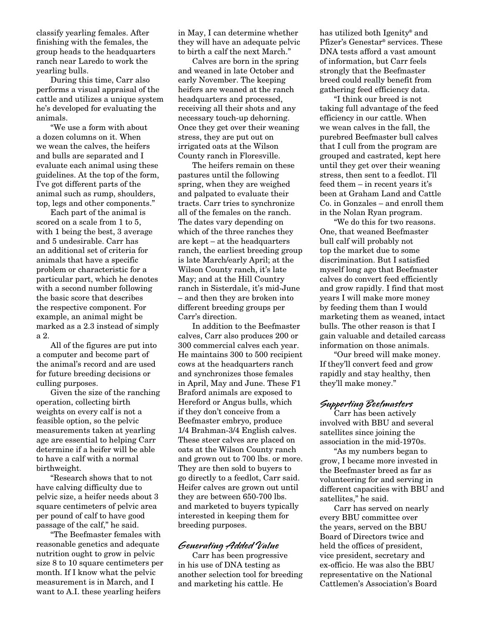classify yearling females. After finishing with the females, the group heads to the headquarters ranch near Laredo to work the yearling bulls.

During this time, Carr also performs a visual appraisal of the cattle and utilizes a unique system he's developed for evaluating the animals.

"We use a form with about a dozen columns on it. When we wean the calves, the heifers and bulls are separated and I evaluate each animal using these guidelines. At the top of the form, I've got different parts of the animal such as rump, shoulders, top, legs and other components."

Each part of the animal is scored on a scale from 1 to 5, with 1 being the best, 3 average and 5 undesirable. Carr has an additional set of criteria for animals that have a specific problem or characteristic for a particular part, which he denotes with a second number following the basic score that describes the respective component. For example, an animal might be marked as a 2.3 instead of simply a 2.

All of the figures are put into a computer and become part of the animal's record and are used for future breeding decisions or culling purposes.

Given the size of the ranching operation, collecting birth weights on every calf is not a feasible option, so the pelvic measurements taken at yearling age are essential to helping Carr determine if a heifer will be able to have a calf with a normal birthweight.

"Research shows that to not have calving difficulty due to pelvic size, a heifer needs about 3 square centimeters of pelvic area per pound of calf to have good passage of the calf," he said.

"The Beefmaster females with reasonable genetics and adequate nutrition ought to grow in pelvic size 8 to 10 square centimeters per month. If I know what the pelvic measurement is in March, and I want to A.I. these yearling heifers

in May, I can determine whether they will have an adequate pelvic to birth a calf the next March."

Calves are born in the spring and weaned in late October and early November. The keeping heifers are weaned at the ranch headquarters and processed, receiving all their shots and any necessary touch-up dehorning. Once they get over their weaning stress, they are put out on irrigated oats at the Wilson County ranch in Floresville.

The heifers remain on these pastures until the following spring, when they are weighed and palpated to evaluate their tracts. Carr tries to synchronize all of the females on the ranch. The dates vary depending on which of the three ranches they are kept – at the headquarters ranch, the earliest breeding group is late March/early April; at the Wilson County ranch, it's late May; and at the Hill Country ranch in Sisterdale, it's mid-June – and then they are broken into different breeding groups per Carr's direction.

In addition to the Beefmaster calves, Carr also produces 200 or 300 commercial calves each year. He maintains 300 to 500 recipient cows at the headquarters ranch and synchronizes those females in April, May and June. These F1 Braford animals are exposed to Hereford or Angus bulls, which if they don't conceive from a Beefmaster embryo, produce 1/4 Brahman-3/4 English calves. These steer calves are placed on oats at the Wilson County ranch and grown out to 700 lbs. or more. They are then sold to buyers to go directly to a feedlot, Carr said. Heifer calves are grown out until they are between 650-700 lbs. and marketed to buyers typically interested in keeping them for breeding purposes.

## **Generating Added Value**

Carr has been progressive in his use of DNA testing as another selection tool for breeding and marketing his cattle. He

has utilized both Igenity® and Pfizer's Genestar® services. These DNA tests afford a vast amount of information, but Carr feels strongly that the Beefmaster breed could really benefit from gathering feed efficiency data.

"I think our breed is not taking full advantage of the feed efficiency in our cattle. When we wean calves in the fall, the purebred Beefmaster bull calves that I cull from the program are grouped and castrated, kept here until they get over their weaning stress, then sent to a feedlot. I'll feed them – in recent years it's been at Graham Land and Cattle Co. in Gonzales – and enroll them in the Nolan Ryan program.

"We do this for two reasons. One, that weaned Beefmaster bull calf will probably not top the market due to some discrimination. But I satisfied myself long ago that Beefmaster calves do convert feed efficiently and grow rapidly. I find that most years I will make more money by feeding them than I would marketing them as weaned, intact bulls. The other reason is that I gain valuable and detailed carcass information on those animals.

"Our breed will make money. If they'll convert feed and grow rapidly and stay healthy, then they'll make money."

## **Supporting Beefmasters**

Carr has been actively involved with BBU and several satellites since joining the association in the mid-1970s.

"As my numbers began to grow, I became more invested in the Beefmaster breed as far as volunteering for and serving in different capacities with BBU and satellites," he said.

Carr has served on nearly every BBU committee over the years, served on the BBU Board of Directors twice and held the offices of president, vice president, secretary and ex-officio. He was also the BBU representative on the National Cattlemen's Association's Board